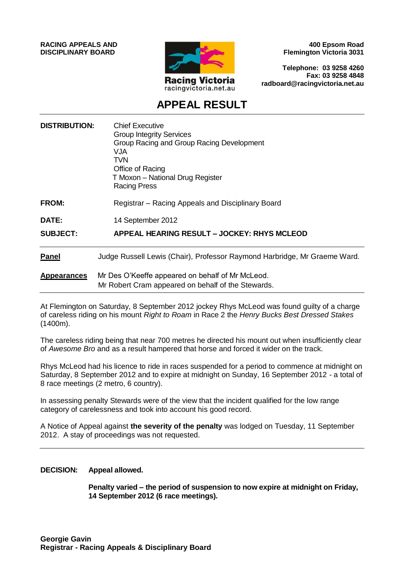**RACING APPEALS AND DISCIPLINARY BOARD**



**400 Epsom Road Flemington Victoria 3031**

**Telephone: 03 9258 4260 Fax: 03 9258 4848 radboard@racingvictoria.net.au**

## **APPEAL RESULT**

| <b>DISTRIBUTION:</b> | <b>Chief Executive</b><br><b>Group Integrity Services</b><br>Group Racing and Group Racing Development<br><b>NUV</b><br><b>TVN</b><br>Office of Racing<br>T Moxon - National Drug Register<br><b>Racing Press</b> |
|----------------------|-------------------------------------------------------------------------------------------------------------------------------------------------------------------------------------------------------------------|
| <b>FROM:</b>         | Registrar – Racing Appeals and Disciplinary Board                                                                                                                                                                 |
| <b>DATE:</b>         | 14 September 2012                                                                                                                                                                                                 |
| <b>SUBJECT:</b>      | APPEAL HEARING RESULT - JOCKEY: RHYS MCLEOD                                                                                                                                                                       |
| <b>Panel</b>         | Judge Russell Lewis (Chair), Professor Raymond Harbridge, Mr Graeme Ward.                                                                                                                                         |
| <b>Appearances</b>   | Mr Des O'Keeffe appeared on behalf of Mr McLeod.<br>Mr Robert Cram appeared on behalf of the Stewards.                                                                                                            |

At Flemington on Saturday, 8 September 2012 jockey Rhys McLeod was found guilty of a charge of careless riding on his mount *Right to Roam* in Race 2 the *Henry Bucks Best Dressed Stakes* (1400m).

The careless riding being that near 700 metres he directed his mount out when insufficiently clear of *Awesome Bro* and as a result hampered that horse and forced it wider on the track.

Rhys McLeod had his licence to ride in races suspended for a period to commence at midnight on Saturday, 8 September 2012 and to expire at midnight on Sunday, 16 September 2012 - a total of 8 race meetings (2 metro, 6 country).

In assessing penalty Stewards were of the view that the incident qualified for the low range category of carelessness and took into account his good record.

A Notice of Appeal against **the severity of the penalty** was lodged on Tuesday, 11 September 2012. A stay of proceedings was not requested.

#### **DECISION: Appeal allowed.**

**Penalty varied – the period of suspension to now expire at midnight on Friday, 14 September 2012 (6 race meetings).**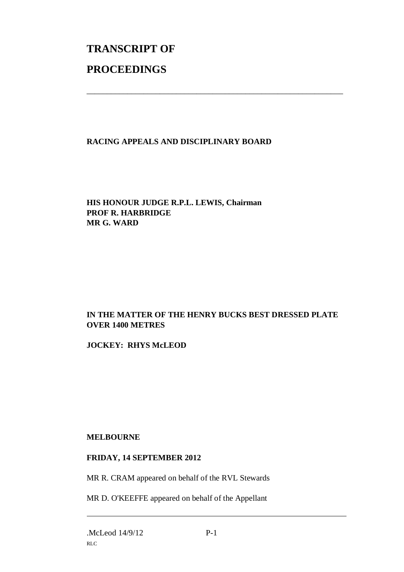# **TRANSCRIPT OF PROCEEDINGS**

### **RACING APPEALS AND DISCIPLINARY BOARD**

\_\_\_\_\_\_\_\_\_\_\_\_\_\_\_\_\_\_\_\_\_\_\_\_\_\_\_\_\_\_\_\_\_\_\_\_\_\_\_\_\_\_\_\_\_\_\_\_\_\_\_\_\_\_\_\_\_\_\_\_\_\_\_

**HIS HONOUR JUDGE R.P.L. LEWIS, Chairman PROF R. HARBRIDGE MR G. WARD**

#### **IN THE MATTER OF THE HENRY BUCKS BEST DRESSED PLATE OVER 1400 METRES**

**JOCKEY: RHYS McLEOD**

#### **MELBOURNE**

#### **FRIDAY, 14 SEPTEMBER 2012**

MR R. CRAM appeared on behalf of the RVL Stewards

MR D. O'KEEFFE appeared on behalf of the Appellant